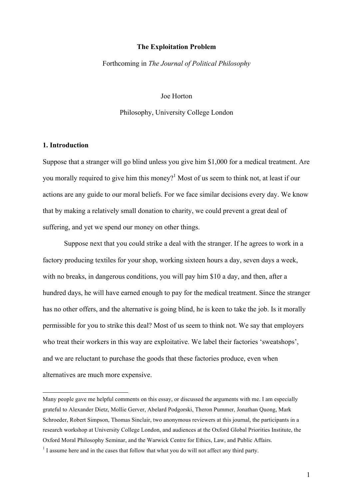#### **The Exploitation Problem**

Forthcoming in *The Journal of Political Philosophy*

Joe Horton

Philosophy, University College London

### **1. Introduction**

Suppose that a stranger will go blind unless you give him \$1,000 for a medical treatment. Are you morally required to give him this money?<sup>1</sup> Most of us seem to think not, at least if our actions are any guide to our moral beliefs. For we face similar decisions every day. We know that by making a relatively small donation to charity, we could prevent a great deal of suffering, and yet we spend our money on other things.

Suppose next that you could strike a deal with the stranger. If he agrees to work in a factory producing textiles for your shop, working sixteen hours a day, seven days a week, with no breaks, in dangerous conditions, you will pay him \$10 a day, and then, after a hundred days, he will have earned enough to pay for the medical treatment. Since the stranger has no other offers, and the alternative is going blind, he is keen to take the job. Is it morally permissible for you to strike this deal? Most of us seem to think not. We say that employers who treat their workers in this way are exploitative. We label their factories 'sweatshops', and we are reluctant to purchase the goods that these factories produce, even when alternatives are much more expensive.

Many people gave me helpful comments on this essay, or discussed the arguments with me. I am especially grateful to Alexander Dietz, Mollie Gerver, Abelard Podgorski, Theron Pummer, Jonathan Quong, Mark Schroeder, Robert Simpson, Thomas Sinclair, two anonymous reviewers at this journal, the participants in a research workshop at University College London, and audiences at the Oxford Global Priorities Institute, the Oxford Moral Philosophy Seminar, and the Warwick Centre for Ethics, Law, and Public Affairs.

 $<sup>1</sup>$  I assume here and in the cases that follow that what you do will not affect any third party.</sup>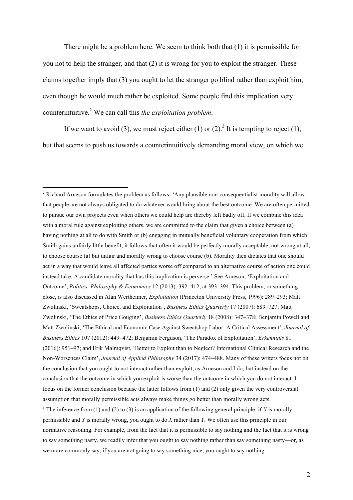There might be a problem here. We seem to think both that (1) it is permissible for you not to help the stranger, and that (2) it is wrong for you to exploit the stranger. These claims together imply that (3) you ought to let the stranger go blind rather than exploit him, even though he would much rather be exploited. Some people find this implication very counterintuitive. <sup>2</sup> We can call this *the exploitation problem*.

If we want to avoid (3), we must reject either (1) or (2).<sup>3</sup> It is tempting to reject (1), but that seems to push us towards a counterintuitively demanding moral view, on which we

<sup>&</sup>lt;sup>2</sup> Richard Arneson formulates the problem as follows: 'Any plausible non-consequentialist morality will allow that people are not always obligated to do whatever would bring about the best outcome. We are often permitted to pursue our own projects even when others we could help are thereby left badly off. If we combine this idea with a moral rule against exploiting others, we are committed to the claim that given a choice between (a) having nothing at all to do with Smith or (b) engaging in mutually beneficial voluntary cooperation from which Smith gains unfairly little benefit, it follows that often it would be perfectly morally acceptable, not wrong at all, to choose course (a) but unfair and morally wrong to choose course (b). Morality then dictates that one should act in a way that would leave all affected parties worse off compared to an alternative course of action one could instead take. A candidate morality that has this implication is perverse.' See Arneson, 'Exploitation and Outcome', *Politics, Philosophy & Economics* 12 (2013): 392–412, at 393–394. This problem, or something close, is also discussed in Alan Wertheimer, *Exploitation* (Princeton University Press, 1996): 289–293; Matt Zwolinski, 'Sweatshops, Choice, and Exploitation', *Business Ethics Quarterly* 17 (2007): 689–727; Matt Zwolinski, 'The Ethics of Price Gouging', *Business Ethics Quarterly* 18 (2008): 347–378; Benjamin Powell and Matt Zwolinski, 'The Ethical and Economic Case Against Sweatshop Labor: A Critical Assessment', *Journal of Business Ethics* 107 (2012): 449–472; Benjamin Ferguson, 'The Paradox of Exploitation', *Erkenntnis* 81 (2016): 951–97; and Erik Malmqvist, 'Better to Exploit than to Neglect? International Clinical Research and the Non-Worseness Claim', *Journal of Applied Philosophy* 34 (2017): 474–488. Many of these writers focus not on the conclusion that you ought to not interact rather than exploit, as Arneson and I do, but instead on the conclusion that the outcome in which you exploit is worse than the outcome in which you do not interact. I focus on the former conclusion because the latter follows from (1) and (2) only given the very controversial assumption that morally permissible acts always make things go better than morally wrong acts. <sup>3</sup> The inference from (1) and (2) to (3) is an application of the following general principle: if *X* is morally permissible and *Y* is morally wrong, you ought to do *X* rather than *Y*. We often use this principle in our normative reasoning. For example, from the fact that it is permissible to say nothing and the fact that it is wrong to say something nasty, we readily infer that you ought to say nothing rather than say something nasty—or, as we more commonly say, if you are not going to say something nice, you ought to say nothing.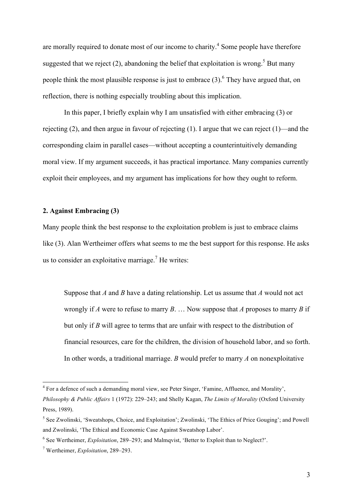are morally required to donate most of our income to charity.<sup>4</sup> Some people have therefore suggested that we reject (2), abandoning the belief that exploitation is wrong.<sup>5</sup> But many people think the most plausible response is just to embrace  $(3)$ . They have argued that, on reflection, there is nothing especially troubling about this implication.

In this paper, I briefly explain why I am unsatisfied with either embracing (3) or rejecting (2), and then argue in favour of rejecting (1). I argue that we can reject (1)—and the corresponding claim in parallel cases—without accepting a counterintuitively demanding moral view. If my argument succeeds, it has practical importance. Many companies currently exploit their employees, and my argument has implications for how they ought to reform.

# **2. Against Embracing (3)**

Many people think the best response to the exploitation problem is just to embrace claims like (3). Alan Wertheimer offers what seems to me the best support for this response. He asks us to consider an exploitative marriage.<sup>7</sup> He writes:

Suppose that *A* and *B* have a dating relationship. Let us assume that *A* would not act wrongly if *A* were to refuse to marry *B*. … Now suppose that *A* proposes to marry *B* if but only if *B* will agree to terms that are unfair with respect to the distribution of financial resources, care for the children, the division of household labor, and so forth. In other words, a traditional marriage. *B* would prefer to marry *A* on nonexploitative

 <sup>4</sup> For a defence of such a demanding moral view, see Peter Singer, 'Famine, Affluence, and Morality', *Philosophy & Public Affairs* 1 (1972): 229–243; and Shelly Kagan, *The Limits of Morality* (Oxford University Press, 1989).

<sup>&</sup>lt;sup>5</sup> See Zwolinski, 'Sweatshops, Choice, and Exploitation'; Zwolinski, 'The Ethics of Price Gouging'; and Powell and Zwolinski, 'The Ethical and Economic Case Against Sweatshop Labor'.

<sup>6</sup> See Wertheimer, *Exploitation*, 289–293; and Malmqvist, 'Better to Exploit than to Neglect?'.

<sup>7</sup> Wertheimer, *Exploitation*, 289–293.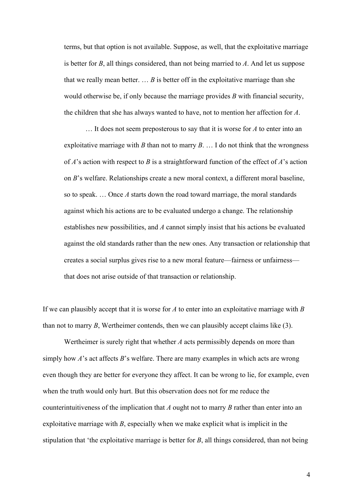terms, but that option is not available. Suppose, as well, that the exploitative marriage is better for *B*, all things considered, than not being married to *A*. And let us suppose that we really mean better. … *B* is better off in the exploitative marriage than she would otherwise be, if only because the marriage provides *B* with financial security, the children that she has always wanted to have, not to mention her affection for *A*.

… It does not seem preposterous to say that it is worse for *A* to enter into an exploitative marriage with *B* than not to marry *B*. ... I do not think that the wrongness of *A*'s action with respect to *B* is a straightforward function of the effect of *A*'s action on *B*'s welfare. Relationships create a new moral context, a different moral baseline, so to speak. … Once *A* starts down the road toward marriage, the moral standards against which his actions are to be evaluated undergo a change. The relationship establishes new possibilities, and *A* cannot simply insist that his actions be evaluated against the old standards rather than the new ones. Any transaction or relationship that creates a social surplus gives rise to a new moral feature—fairness or unfairness that does not arise outside of that transaction or relationship.

If we can plausibly accept that it is worse for *A* to enter into an exploitative marriage with *B* than not to marry *B*, Wertheimer contends, then we can plausibly accept claims like (3).

Wertheimer is surely right that whether *A* acts permissibly depends on more than simply how *A*'s act affects *B*'s welfare. There are many examples in which acts are wrong even though they are better for everyone they affect. It can be wrong to lie, for example, even when the truth would only hurt. But this observation does not for me reduce the counterintuitiveness of the implication that *A* ought not to marry *B* rather than enter into an exploitative marriage with *B*, especially when we make explicit what is implicit in the stipulation that 'the exploitative marriage is better for *B*, all things considered, than not being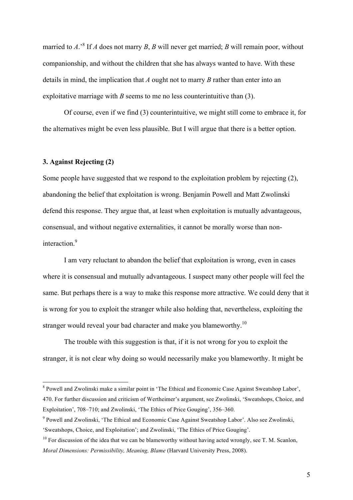married to  $A$ <sup>3</sup>.<sup>8</sup> If *A* does not marry *B*, *B* will never get married; *B* will remain poor, without companionship, and without the children that she has always wanted to have. With these details in mind, the implication that *A* ought not to marry *B* rather than enter into an exploitative marriage with *B* seems to me no less counterintuitive than (3).

Of course, even if we find (3) counterintuitive, we might still come to embrace it, for the alternatives might be even less plausible. But I will argue that there is a better option.

# **3. Against Rejecting (2)**

Some people have suggested that we respond to the exploitation problem by rejecting (2), abandoning the belief that exploitation is wrong. Benjamin Powell and Matt Zwolinski defend this response. They argue that, at least when exploitation is mutually advantageous, consensual, and without negative externalities, it cannot be morally worse than noninteraction<sup>9</sup>

I am very reluctant to abandon the belief that exploitation is wrong, even in cases where it is consensual and mutually advantageous. I suspect many other people will feel the same. But perhaps there is a way to make this response more attractive. We could deny that it is wrong for you to exploit the stranger while also holding that, nevertheless, exploiting the stranger would reveal your bad character and make you blameworthy.<sup>10</sup>

The trouble with this suggestion is that, if it is not wrong for you to exploit the stranger, it is not clear why doing so would necessarily make you blameworthy. It might be

 <sup>8</sup> Powell and Zwolinski make a similar point in 'The Ethical and Economic Case Against Sweatshop Labor', 470. For further discussion and criticism of Wertheimer's argument, see Zwolinski, 'Sweatshops, Choice, and Exploitation', 708–710; and Zwolinski, 'The Ethics of Price Gouging', 356–360.

<sup>9</sup> Powell and Zwolinski, 'The Ethical and Economic Case Against Sweatshop Labor'. Also see Zwolinski, 'Sweatshops, Choice, and Exploitation'; and Zwolinski, 'The Ethics of Price Gouging'.

 $10$  For discussion of the idea that we can be blameworthy without having acted wrongly, see T. M. Scanlon, *Moral Dimensions: Permissibility, Meaning, Blame* (Harvard University Press, 2008).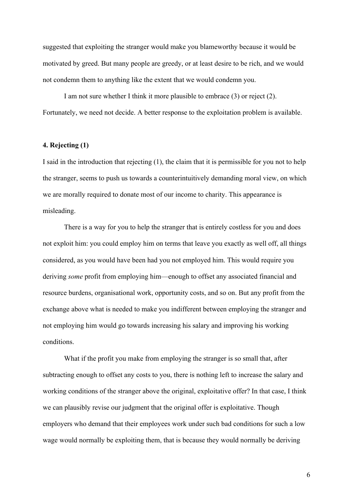suggested that exploiting the stranger would make you blameworthy because it would be motivated by greed. But many people are greedy, or at least desire to be rich, and we would not condemn them to anything like the extent that we would condemn you.

I am not sure whether I think it more plausible to embrace (3) or reject (2). Fortunately, we need not decide. A better response to the exploitation problem is available.

# **4. Rejecting (1)**

I said in the introduction that rejecting (1), the claim that it is permissible for you not to help the stranger, seems to push us towards a counterintuitively demanding moral view, on which we are morally required to donate most of our income to charity. This appearance is misleading.

There is a way for you to help the stranger that is entirely costless for you and does not exploit him: you could employ him on terms that leave you exactly as well off, all things considered, as you would have been had you not employed him. This would require you deriving *some* profit from employing him—enough to offset any associated financial and resource burdens, organisational work, opportunity costs, and so on. But any profit from the exchange above what is needed to make you indifferent between employing the stranger and not employing him would go towards increasing his salary and improving his working conditions.

What if the profit you make from employing the stranger is so small that, after subtracting enough to offset any costs to you, there is nothing left to increase the salary and working conditions of the stranger above the original, exploitative offer? In that case, I think we can plausibly revise our judgment that the original offer is exploitative. Though employers who demand that their employees work under such bad conditions for such a low wage would normally be exploiting them, that is because they would normally be deriving

6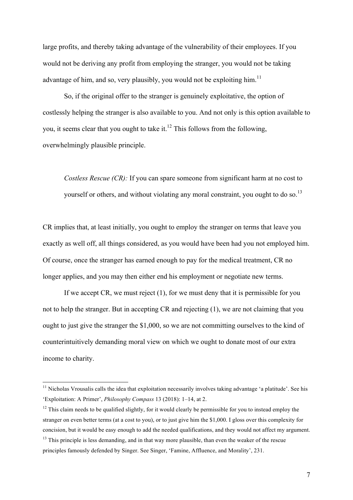large profits, and thereby taking advantage of the vulnerability of their employees. If you would not be deriving any profit from employing the stranger, you would not be taking advantage of him, and so, very plausibly, you would not be exploiting him.<sup>11</sup>

So, if the original offer to the stranger is genuinely exploitative, the option of costlessly helping the stranger is also available to you. And not only is this option available to you, it seems clear that you ought to take it.<sup>12</sup> This follows from the following, overwhelmingly plausible principle.

*Costless Rescue (CR)*: If you can spare someone from significant harm at no cost to yourself or others, and without violating any moral constraint, you ought to do so.<sup>13</sup>

CR implies that, at least initially, you ought to employ the stranger on terms that leave you exactly as well off, all things considered, as you would have been had you not employed him. Of course, once the stranger has earned enough to pay for the medical treatment, CR no longer applies, and you may then either end his employment or negotiate new terms.

If we accept CR, we must reject (1), for we must deny that it is permissible for you not to help the stranger. But in accepting CR and rejecting (1), we are not claiming that you ought to just give the stranger the \$1,000, so we are not committing ourselves to the kind of counterintuitively demanding moral view on which we ought to donate most of our extra income to charity.

 $11$  Nicholas Vrousalis calls the idea that exploitation necessarily involves taking advantage 'a platitude'. See his 'Exploitation: A Primer', *Philosophy Compass* 13 (2018): 1–14, at 2.

<sup>&</sup>lt;sup>12</sup> This claim needs to be qualified slightly, for it would clearly be permissible for you to instead employ the stranger on even better terms (at a cost to you), or to just give him the \$1,000. I gloss over this complexity for concision, but it would be easy enough to add the needed qualifications, and they would not affect my argument.

 $13$  This principle is less demanding, and in that way more plausible, than even the weaker of the rescue principles famously defended by Singer. See Singer, 'Famine, Affluence, and Morality', 231.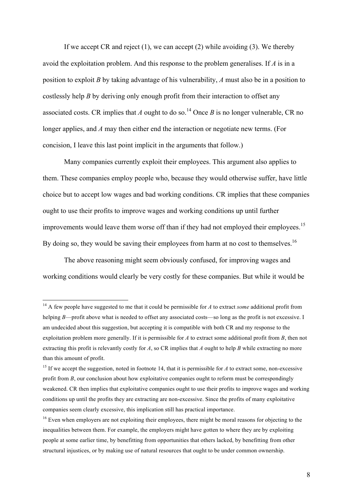If we accept CR and reject  $(1)$ , we can accept  $(2)$  while avoiding  $(3)$ . We thereby avoid the exploitation problem. And this response to the problem generalises. If *A* is in a position to exploit *B* by taking advantage of his vulnerability, *A* must also be in a position to costlessly help *B* by deriving only enough profit from their interaction to offset any associated costs. CR implies that *A* ought to do so.<sup>14</sup> Once *B* is no longer vulnerable, CR no longer applies, and *A* may then either end the interaction or negotiate new terms. (For concision, I leave this last point implicit in the arguments that follow.)

Many companies currently exploit their employees. This argument also applies to them. These companies employ people who, because they would otherwise suffer, have little choice but to accept low wages and bad working conditions. CR implies that these companies ought to use their profits to improve wages and working conditions up until further improvements would leave them worse off than if they had not employed their employees.<sup>15</sup> By doing so, they would be saving their employees from harm at no cost to themselves.<sup>16</sup>

The above reasoning might seem obviously confused, for improving wages and working conditions would clearly be very costly for these companies. But while it would be

<sup>&</sup>lt;sup>14</sup> A few people have suggested to me that it could be permissible for *A* to extract *some* additional profit from helping *B*—profit above what is needed to offset any associated costs—so long as the profit is not excessive. I am undecided about this suggestion, but accepting it is compatible with both CR and my response to the exploitation problem more generally. If it is permissible for *A* to extract some additional profit from *B*, then not extracting this profit is relevantly costly for *A*, so CR implies that *A* ought to help *B* while extracting no more than this amount of profit.

<sup>&</sup>lt;sup>15</sup> If we accept the suggestion, noted in footnote 14, that it is permissible for  $\Lambda$  to extract some, non-excessive profit from *B*, our conclusion about how exploitative companies ought to reform must be correspondingly weakened. CR then implies that exploitative companies ought to use their profits to improve wages and working conditions up until the profits they are extracting are non-excessive. Since the profits of many exploitative companies seem clearly excessive, this implication still has practical importance.

<sup>&</sup>lt;sup>16</sup> Even when employers are not exploiting their employees, there might be moral reasons for objecting to the inequalities between them. For example, the employers might have gotten to where they are by exploiting people at some earlier time, by benefitting from opportunities that others lacked, by benefitting from other structural injustices, or by making use of natural resources that ought to be under common ownership.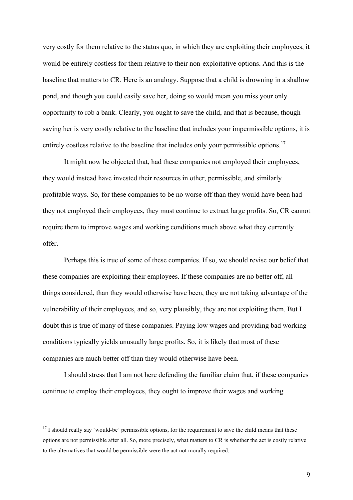very costly for them relative to the status quo, in which they are exploiting their employees, it would be entirely costless for them relative to their non-exploitative options. And this is the baseline that matters to CR. Here is an analogy. Suppose that a child is drowning in a shallow pond, and though you could easily save her, doing so would mean you miss your only opportunity to rob a bank. Clearly, you ought to save the child, and that is because, though saving her is very costly relative to the baseline that includes your impermissible options, it is entirely costless relative to the baseline that includes only your permissible options.<sup>17</sup>

It might now be objected that, had these companies not employed their employees, they would instead have invested their resources in other, permissible, and similarly profitable ways. So, for these companies to be no worse off than they would have been had they not employed their employees, they must continue to extract large profits. So, CR cannot require them to improve wages and working conditions much above what they currently offer.

Perhaps this is true of some of these companies. If so, we should revise our belief that these companies are exploiting their employees. If these companies are no better off, all things considered, than they would otherwise have been, they are not taking advantage of the vulnerability of their employees, and so, very plausibly, they are not exploiting them. But I doubt this is true of many of these companies. Paying low wages and providing bad working conditions typically yields unusually large profits. So, it is likely that most of these companies are much better off than they would otherwise have been.

I should stress that I am not here defending the familiar claim that, if these companies continue to employ their employees, they ought to improve their wages and working

 $17$  I should really say 'would-be' permissible options, for the requirement to save the child means that these options are not permissible after all. So, more precisely, what matters to CR is whether the act is costly relative to the alternatives that would be permissible were the act not morally required.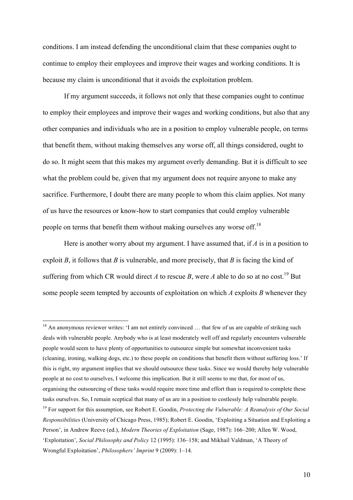conditions. I am instead defending the unconditional claim that these companies ought to continue to employ their employees and improve their wages and working conditions. It is because my claim is unconditional that it avoids the exploitation problem.

If my argument succeeds, it follows not only that these companies ought to continue to employ their employees and improve their wages and working conditions, but also that any other companies and individuals who are in a position to employ vulnerable people, on terms that benefit them, without making themselves any worse off, all things considered, ought to do so. It might seem that this makes my argument overly demanding. But it is difficult to see what the problem could be, given that my argument does not require anyone to make any sacrifice. Furthermore, I doubt there are many people to whom this claim applies. Not many of us have the resources or know-how to start companies that could employ vulnerable people on terms that benefit them without making ourselves any worse off.<sup>18</sup>

Here is another worry about my argument. I have assumed that, if *A* is in a position to exploit *B*, it follows that *B* is vulnerable, and more precisely, that *B* is facing the kind of suffering from which CR would direct *A* to rescue *B*, were *A* able to do so at no cost.<sup>19</sup> But some people seem tempted by accounts of exploitation on which *A* exploits *B* whenever they

<sup>&</sup>lt;sup>18</sup> An anonymous reviewer writes: 'I am not entirely convinced ... that few of us are capable of striking such deals with vulnerable people. Anybody who is at least moderately well off and regularly encounters vulnerable people would seem to have plenty of opportunities to outsource simple but somewhat inconvenient tasks (cleaning, ironing, walking dogs, etc.) to these people on conditions that benefit them without suffering loss.' If this is right, my argument implies that we should outsource these tasks. Since we would thereby help vulnerable people at no cost to ourselves, I welcome this implication. But it still seems to me that, for most of us, organising the outsourcing of these tasks would require more time and effort than is required to complete these tasks ourselves. So, I remain sceptical that many of us are in a position to costlessly help vulnerable people. <sup>19</sup> For support for this assumption, see Robert E. Goodin, *Protecting the Vulnerable: A Reanalysis of Our Social Responsibilities* (University of Chicago Press, 1985); Robert E. Goodin, 'Exploiting a Situation and Exploiting a Person', in Andrew Reeve (ed.), *Modern Theories of Exploitation* (Sage, 1987): 166–200; Allen W. Wood, 'Exploitation', *Social Philosophy and Policy* 12 (1995): 136–158; and Mikhail Valdman, 'A Theory of Wrongful Exploitation', *Philosophers' Imprint* 9 (2009): 1–14.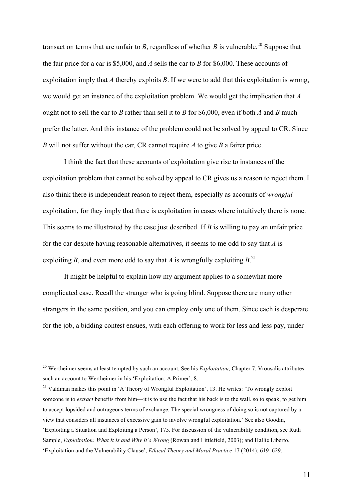transact on terms that are unfair to *B*, regardless of whether *B* is vulnerable.<sup>20</sup> Suppose that the fair price for a car is \$5,000, and *A* sells the car to *B* for \$6,000. These accounts of exploitation imply that *A* thereby exploits *B*. If we were to add that this exploitation is wrong, we would get an instance of the exploitation problem. We would get the implication that *A* ought not to sell the car to *B* rather than sell it to *B* for \$6,000, even if both *A* and *B* much prefer the latter. And this instance of the problem could not be solved by appeal to CR. Since *B* will not suffer without the car, CR cannot require *A* to give *B* a fairer price.

I think the fact that these accounts of exploitation give rise to instances of the exploitation problem that cannot be solved by appeal to CR gives us a reason to reject them. I also think there is independent reason to reject them, especially as accounts of *wrongful*  exploitation, for they imply that there is exploitation in cases where intuitively there is none. This seems to me illustrated by the case just described. If *B* is willing to pay an unfair price for the car despite having reasonable alternatives, it seems to me odd to say that *A* is exploiting *B*, and even more odd to say that *A* is wrongfully exploiting  $B$ <sup>21</sup>

It might be helpful to explain how my argument applies to a somewhat more complicated case. Recall the stranger who is going blind. Suppose there are many other strangers in the same position, and you can employ only one of them. Since each is desperate for the job, a bidding contest ensues, with each offering to work for less and less pay, under

 <sup>20</sup> Wertheimer seems at least tempted by such an account. See his *Exploitation*, Chapter 7. Vrousalis attributes such an account to Wertheimer in his 'Exploitation: A Primer', 8.

 $21$  Valdman makes this point in 'A Theory of Wrongful Exploitation', 13. He writes: 'To wrongly exploit someone is to *extract* benefits from him—it is to use the fact that his back is to the wall, so to speak, to get him to accept lopsided and outrageous terms of exchange. The special wrongness of doing so is not captured by a view that considers all instances of excessive gain to involve wrongful exploitation.' See also Goodin, 'Exploiting a Situation and Exploiting a Person', 175. For discussion of the vulnerability condition, see Ruth Sample, *Exploitation: What It Is and Why It's Wrong* (Rowan and Littlefield, 2003); and Hallie Liberto, 'Exploitation and the Vulnerability Clause', *Ethical Theory and Moral Practice* 17 (2014): 619–629.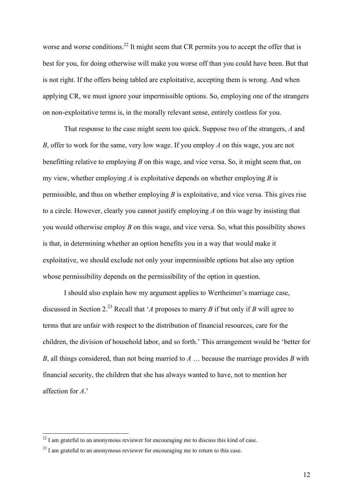worse and worse conditions.<sup>22</sup> It might seem that CR permits you to accept the offer that is best for you, for doing otherwise will make you worse off than you could have been. But that is not right. If the offers being tabled are exploitative, accepting them is wrong. And when applying CR, we must ignore your impermissible options. So, employing one of the strangers on non-exploitative terms is, in the morally relevant sense, entirely costless for you.

That response to the case might seem too quick. Suppose two of the strangers, *A* and *B*, offer to work for the same, very low wage. If you employ *A* on this wage, you are not benefitting relative to employing *B* on this wage, and vice versa. So, it might seem that, on my view, whether employing *A* is exploitative depends on whether employing *B* is permissible, and thus on whether employing *B* is exploitative, and vice versa. This gives rise to a circle. However, clearly you cannot justify employing *A* on this wage by insisting that you would otherwise employ *B* on this wage, and vice versa. So, what this possibility shows is that, in determining whether an option benefits you in a way that would make it exploitative, we should exclude not only your impermissible options but also any option whose permissibility depends on the permissibility of the option in question.

I should also explain how my argument applies to Wertheimer's marriage case, discussed in Section 2. <sup>23</sup> Recall that '*A* proposes to marry *B* if but only if *B* will agree to terms that are unfair with respect to the distribution of financial resources, care for the children, the division of household labor, and so forth.' This arrangement would be 'better for *B*, all things considered, than not being married to *A* … because the marriage provides *B* with financial security, the children that she has always wanted to have, not to mention her affection for *A*.'

12

 $^{22}$  I am grateful to an anonymous reviewer for encouraging me to discuss this kind of case.

 $^{23}$  I am grateful to an anonymous reviewer for encouraging me to return to this case.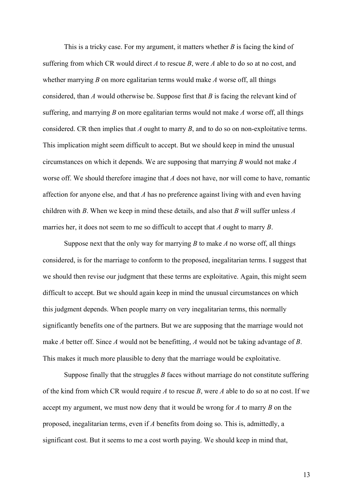This is a tricky case. For my argument, it matters whether *B* is facing the kind of suffering from which CR would direct *A* to rescue *B*, were *A* able to do so at no cost, and whether marrying *B* on more egalitarian terms would make *A* worse off, all things considered, than *A* would otherwise be. Suppose first that *B* is facing the relevant kind of suffering, and marrying *B* on more egalitarian terms would not make *A* worse off, all things considered. CR then implies that *A* ought to marry *B*, and to do so on non-exploitative terms. This implication might seem difficult to accept. But we should keep in mind the unusual circumstances on which it depends. We are supposing that marrying *B* would not make *A* worse off. We should therefore imagine that *A* does not have, nor will come to have, romantic affection for anyone else, and that *A* has no preference against living with and even having children with *B*. When we keep in mind these details, and also that *B* will suffer unless *A* marries her, it does not seem to me so difficult to accept that *A* ought to marry *B*.

Suppose next that the only way for marrying *B* to make *A* no worse off, all things considered, is for the marriage to conform to the proposed, inegalitarian terms. I suggest that we should then revise our judgment that these terms are exploitative. Again, this might seem difficult to accept. But we should again keep in mind the unusual circumstances on which this judgment depends. When people marry on very inegalitarian terms, this normally significantly benefits one of the partners. But we are supposing that the marriage would not make *A* better off. Since *A* would not be benefitting, *A* would not be taking advantage of *B*. This makes it much more plausible to deny that the marriage would be exploitative.

Suppose finally that the struggles *B* faces without marriage do not constitute suffering of the kind from which CR would require *A* to rescue *B*, were *A* able to do so at no cost. If we accept my argument, we must now deny that it would be wrong for *A* to marry *B* on the proposed, inegalitarian terms, even if *A* benefits from doing so. This is, admittedly, a significant cost. But it seems to me a cost worth paying. We should keep in mind that,

13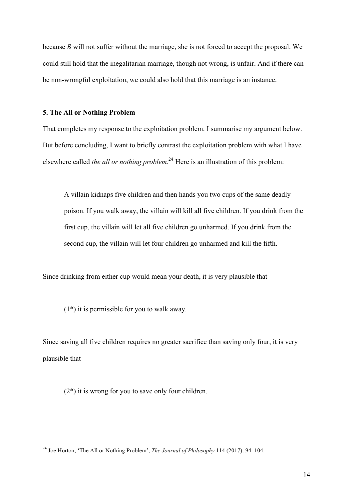because *B* will not suffer without the marriage, she is not forced to accept the proposal. We could still hold that the inegalitarian marriage, though not wrong, is unfair. And if there can be non-wrongful exploitation, we could also hold that this marriage is an instance.

# **5. The All or Nothing Problem**

That completes my response to the exploitation problem. I summarise my argument below. But before concluding, I want to briefly contrast the exploitation problem with what I have elsewhere called *the all or nothing problem*. <sup>24</sup> Here is an illustration of this problem:

A villain kidnaps five children and then hands you two cups of the same deadly poison. If you walk away, the villain will kill all five children. If you drink from the first cup, the villain will let all five children go unharmed. If you drink from the second cup, the villain will let four children go unharmed and kill the fifth.

Since drinking from either cup would mean your death, it is very plausible that

(1\*) it is permissible for you to walk away.

Since saving all five children requires no greater sacrifice than saving only four, it is very plausible that

(2\*) it is wrong for you to save only four children.

 <sup>24</sup> Joe Horton, 'The All or Nothing Problem', *The Journal of Philosophy* 114 (2017): 94–104.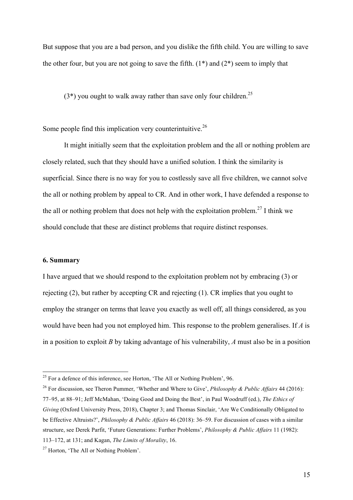But suppose that you are a bad person, and you dislike the fifth child. You are willing to save the other four, but you are not going to save the fifth.  $(1^*)$  and  $(2^*)$  seem to imply that

 $(3^*)$  you ought to walk away rather than save only four children.<sup>25</sup>

Some people find this implication very counterintuitive.<sup>26</sup>

It might initially seem that the exploitation problem and the all or nothing problem are closely related, such that they should have a unified solution. I think the similarity is superficial. Since there is no way for you to costlessly save all five children, we cannot solve the all or nothing problem by appeal to CR. And in other work, I have defended a response to the all or nothing problem that does not help with the exploitation problem.<sup>27</sup> I think we should conclude that these are distinct problems that require distinct responses.

# **6. Summary**

I have argued that we should respond to the exploitation problem not by embracing (3) or rejecting (2), but rather by accepting CR and rejecting (1). CR implies that you ought to employ the stranger on terms that leave you exactly as well off, all things considered, as you would have been had you not employed him. This response to the problem generalises. If *A* is in a position to exploit *B* by taking advantage of his vulnerability, *A* must also be in a position

 $25$  For a defence of this inference, see Horton, 'The All or Nothing Problem', 96.

<sup>26</sup> For discussion, see Theron Pummer, 'Whether and Where to Give', *Philosophy & Public Affairs* 44 (2016): 77–95, at 88–91; Jeff McMahan, 'Doing Good and Doing the Best', in Paul Woodruff (ed.), *The Ethics of Giving* (Oxford University Press, 2018), Chapter 3; and Thomas Sinclair, 'Are We Conditionally Obligated to be Effective Altruists?', *Philosophy & Public Affairs* 46 (2018): 36–59. For discussion of cases with a similar structure, see Derek Parfit, 'Future Generations: Further Problems', *Philosophy & Public Affairs* 11 (1982): 113–172, at 131; and Kagan, *The Limits of Morality*, 16.

<sup>&</sup>lt;sup>27</sup> Horton, 'The All or Nothing Problem'.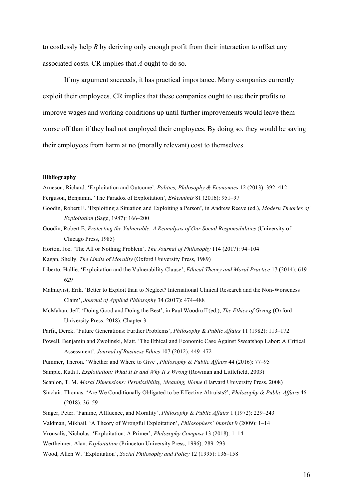to costlessly help *B* by deriving only enough profit from their interaction to offset any associated costs. CR implies that *A* ought to do so.

If my argument succeeds, it has practical importance. Many companies currently exploit their employees. CR implies that these companies ought to use their profits to improve wages and working conditions up until further improvements would leave them worse off than if they had not employed their employees. By doing so, they would be saving their employees from harm at no (morally relevant) cost to themselves.

#### **Bibliography**

- Arneson, Richard. 'Exploitation and Outcome', *Politics, Philosophy & Economics* 12 (2013): 392–412
- Ferguson, Benjamin. 'The Paradox of Exploitation', *Erkenntnis* 81 (2016): 951–97
- Goodin, Robert E. 'Exploiting a Situation and Exploiting a Person', in Andrew Reeve (ed.), *Modern Theories of Exploitation* (Sage, 1987): 166–200
- Goodin, Robert E. Protecting the Vulnerable: A Reanalysis of Our Social Responsibilities (University of Chicago Press, 1985)
- Horton, Joe. 'The All or Nothing Problem', *The Journal of Philosophy* 114 (2017): 94–104
- Kagan, Shelly. *The Limits of Morality* (Oxford University Press, 1989)
- Liberto, Hallie. 'Exploitation and the Vulnerability Clause', *Ethical Theory and Moral Practice* 17 (2014): 619– 629
- Malmqvist, Erik. 'Better to Exploit than to Neglect? International Clinical Research and the Non-Worseness Claim', *Journal of Applied Philosophy* 34 (2017): 474–488
- McMahan, Jeff. 'Doing Good and Doing the Best', in Paul Woodruff (ed.), *The Ethics of Giving* (Oxford University Press, 2018): Chapter 3
- Parfit, Derek. 'Future Generations: Further Problems', *Philosophy & Public Affairs* 11 (1982): 113–172
- Powell, Benjamin and Zwolinski, Matt. 'The Ethical and Economic Case Against Sweatshop Labor: A Critical Assessment', *Journal of Business Ethics* 107 (2012): 449–472
- Pummer, Theron. 'Whether and Where to Give', *Philosophy & Public Affairs* 44 (2016): 77–95
- Sample, Ruth J. *Exploitation: What It Is and Why It's Wrong* (Rowman and Littlefield, 2003)
- Scanlon, T. M. *Moral Dimensions: Permissibility, Meaning, Blame* (Harvard University Press, 2008)
- Sinclair, Thomas. 'Are We Conditionally Obligated to be Effective Altruists?', *Philosophy & Public Affairs* 46 (2018): 36–59
- Singer, Peter. 'Famine, Affluence, and Morality', *Philosophy & Public Affairs* 1 (1972): 229–243
- Valdman, Mikhail. 'A Theory of Wrongful Exploitation', *Philosophers' Imprint* 9 (2009): 1–14
- Vrousalis, Nicholas. 'Exploitation: A Primer', *Philosophy Compass* 13 (2018): 1–14
- Wertheimer, Alan. *Exploitation* (Princeton University Press, 1996): 289–293
- Wood, Allen W. 'Exploitation', *Social Philosophy and Policy* 12 (1995): 136–158